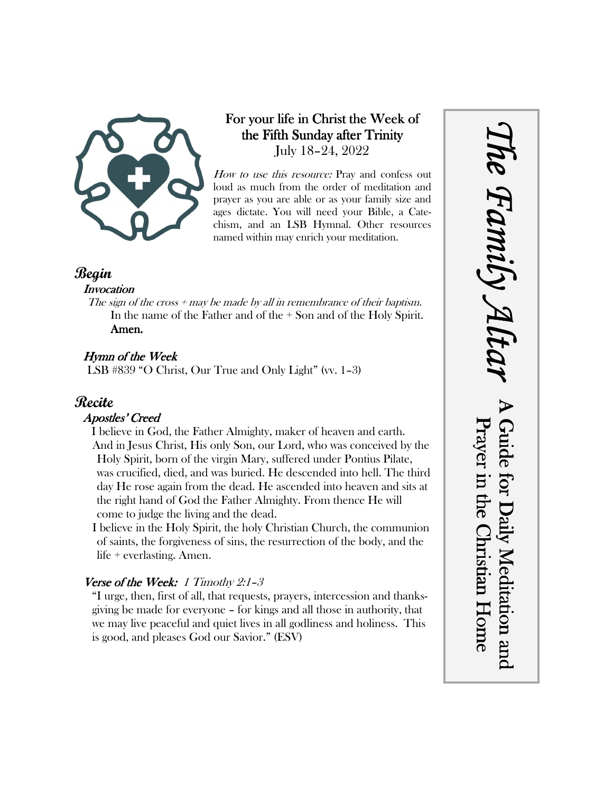

# For your life in Christ the Week of the Fifth Sunday after Trinity July 18–24, 2022

How to use this resource: Pray and confess out loud as much from the order of meditation and prayer as you are able or as your family size and ages dictate. You will need your Bible, a Catechism, and an LSB Hymnal. Other resources named within may enrich your meditation.

# **Begin**

#### **Invocation**

The sign of the cross  $+$  may be made by all in remembrance of their baptism. In the name of the Father and of the + Son and of the Holy Spirit. Amen.

# Hymn of the Week

LSB #839 "O Christ, Our True and Only Light" (vv. 1–3)

# **Recite**

#### Apostles' Creed

I believe in God, the Father Almighty, maker of heaven and earth. And in Jesus Christ, His only Son, our Lord, who was conceived by the Holy Spirit, born of the virgin Mary, suffered under Pontius Pilate, was crucified, died, and was buried. He descended into hell. The third day He rose again from the dead. He ascended into heaven and sits at the right hand of God the Father Almighty. From thence He will come to judge the living and the dead.

I believe in the Holy Spirit, the holy Christian Church, the communion of saints, the forgiveness of sins, the resurrection of the body, and the life + everlasting. Amen.

# Verse of the Week: 1 Timothy 2:1-3

"I urge, then, first of all, that requests, prayers, intercession and thanksgiving be made for everyone – for kings and all those in authority, that we may live peaceful and quiet lives in all godliness and holiness. This is good, and pleases God our Savior." (ESV)

# *The Family Altar* he Family A Guide for Daily Meditation and Prayer in the Christian Home Guide for Daily Meditation and Prayer in the Christian Home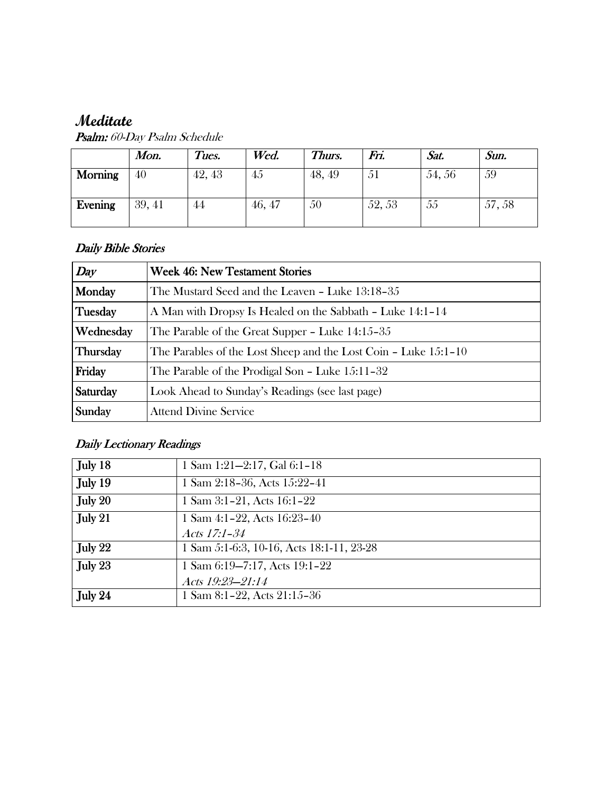# **Meditate**

|         | Mon.   | Tues.  | Wed.   | Thurs. | Fri.   | Sat.  | Sun.  |
|---------|--------|--------|--------|--------|--------|-------|-------|
| Morning | 40     | 42, 43 | 45     | 48, 49 | 51     | 54,56 | 59    |
| Evening | 39, 41 | 44     | 46, 47 | 50     | 52, 53 | 55    | 57,58 |

Psalm: 60-Day Psalm Schedule

#### Daily Bible Stories

| Day             | <b>Week 46: New Testament Stories</b>                           |  |  |
|-----------------|-----------------------------------------------------------------|--|--|
| Monday          | The Mustard Seed and the Leaven - Luke 13:18-35                 |  |  |
| Tuesday         | A Man with Dropsy Is Healed on the Sabbath - Luke 14:1-14       |  |  |
| Wednesday       | The Parable of the Great Supper – Luke 14:15–35                 |  |  |
| <b>Thursday</b> | The Parables of the Lost Sheep and the Lost Coin - Luke 15:1-10 |  |  |
| Friday          | The Parable of the Prodigal Son – Luke 15:11–32                 |  |  |
| Saturday        | Look Ahead to Sunday's Readings (see last page)                 |  |  |
| Sunday          | <b>Attend Divine Service</b>                                    |  |  |

# Daily Lectionary Readings

| July 18   | 1 Sam 1:21-2:17, Gal 6:1-18               |
|-----------|-------------------------------------------|
| July 19   | 1 Sam 2:18-36, Acts 15:22-41              |
| July 20   | 1 Sam 3:1-21, Acts 16:1-22                |
| July $21$ | 1 Sam 4:1-22, Acts 16:23-40               |
|           | Acts 17:1-34                              |
| July $22$ | 1 Sam 5:1-6:3, 10-16, Acts 18:1-11, 23-28 |
| July $23$ | 1 Sam 6:19-7:17, Acts 19:1-22             |
|           | Acts 19:23-21:14                          |
| July 24   | 1 Sam 8:1-22, Acts 21:15-36               |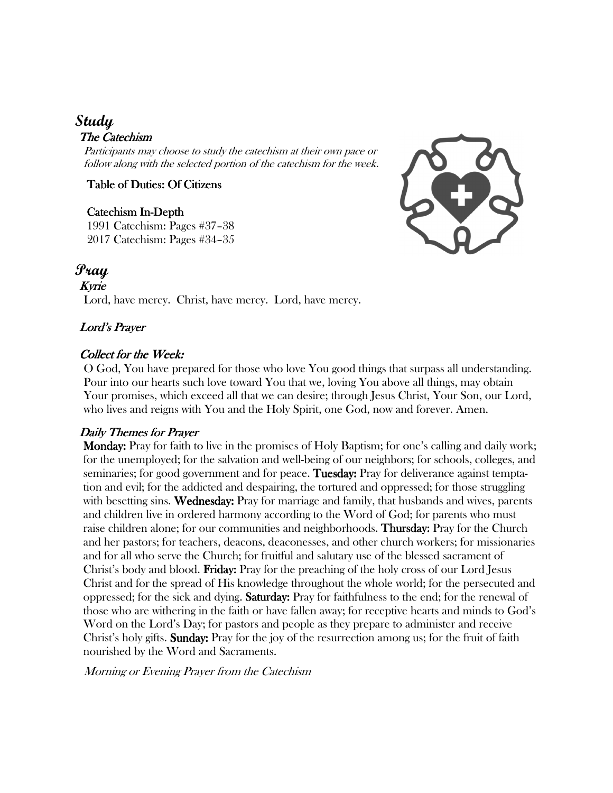# **Study**

#### The Catechism

Participants may choose to study the catechism at their own pace or follow along with the selected portion of the catechism for the week.

Table of Duties: Of Citizens

#### Catechism In-Depth

1991 Catechism: Pages #37–38 2017 Catechism: Pages #34–35



# **Pray**

Kyrie Lord, have mercy. Christ, have mercy. Lord, have mercy.

#### Lord's Prayer

#### Collect for the Week:

O God, You have prepared for those who love You good things that surpass all understanding. Pour into our hearts such love toward You that we, loving You above all things, may obtain Your promises, which exceed all that we can desire; through Jesus Christ, Your Son, our Lord, who lives and reigns with You and the Holy Spirit, one God, now and forever. Amen.

#### Daily Themes for Prayer

 Monday: Monday: Pray for faith to live in the promises of Holy Baptism; for one's calling and daily work; for the unemployed; for the salvation and well-being of our neighbors; for schools, colleges, and seminaries; for good government and for peace. Tuesday: Pray for deliverance against temptation and evil; for the addicted and despairing, the tortured and oppressed; for those struggling with besetting sins. Wednesday: Pray for marriage and family, that husbands and wives, parents and children live in ordered harmony according to the Word of God; for parents who must raise children alone; for our communities and neighborhoods. **Thursday:** Pray for the Church and her pastors; for teachers, deacons, deaconesses, and other church workers; for missionaries and for all who serve the Church; for fruitful and salutary use of the blessed sacrament of Christ's body and blood. **Friday:** Pray for the preaching of the holy cross of our Lord Jesus Christ and for the spread of His knowledge throughout the whole world; for the persecuted and oppressed; for the sick and dying. **Saturday:** Pray for faithfulness to the end; for the renewal of those who are withering in the faith or have fallen away; for receptive hearts and minds to God's Word on the Lord's Day; for pastors and people as they prepare to administer and receive Christ's holy gifts. Sunday: Pray for the joy of the resurrection among us; for the fruit of faith nourished by the Word and Sacraments.

Morning or Evening Prayer from the Catechism